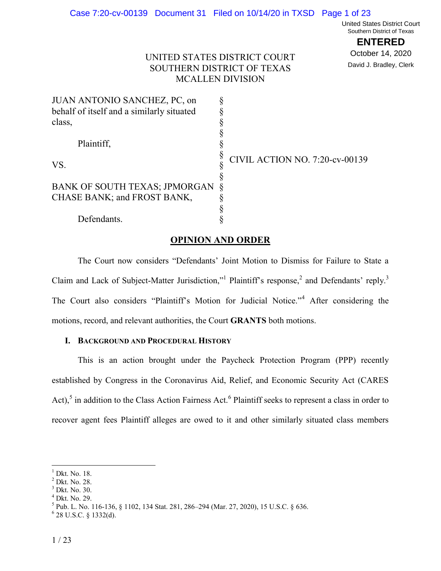United States District Court Southern District of Texas

**ENTERED**

October 14, 2020 David J. Bradley, Clerk

# UNITED STATES DISTRICT COURT SOUTHERN DISTRICT OF TEXAS MCALLEN DIVISION

| JUAN ANTONIO SANCHEZ, PC, on              |                                       |
|-------------------------------------------|---------------------------------------|
| behalf of itself and a similarly situated |                                       |
| class,                                    |                                       |
|                                           |                                       |
| Plaintiff.                                |                                       |
|                                           | <b>CIVIL ACTION NO. 7:20-cv-00139</b> |
| VS.                                       |                                       |
|                                           |                                       |
| BANK OF SOUTH TEXAS; JPMORGAN             |                                       |
| CHASE BANK; and FROST BANK,               |                                       |
|                                           |                                       |
| Defendants.                               |                                       |

# **OPINION AND ORDER**

The Court now considers "Defendants' Joint Motion to Dismiss for Failure to State a Claim and Lack of Subject-Matter Jurisdiction," Plaintiff's response,<sup>2</sup> and Defendants' reply.<sup>3</sup> The Court also considers "Plaintiff's Motion for Judicial Notice."<sup>4</sup> After considering the motions, record, and relevant authorities, the Court **GRANTS** both motions.

## **I. BACKGROUND AND PROCEDURAL HISTORY**

This is an action brought under the Paycheck Protection Program (PPP) recently established by Congress in the Coronavirus Aid, Relief, and Economic Security Act (CARES Act),<sup>5</sup> in addition to the Class Action Fairness Act.<sup>6</sup> Plaintiff seeks to represent a class in order to recover agent fees Plaintiff alleges are owed to it and other similarly situated class members

 $<sup>1</sup>$  Dkt. No. 18.</sup>

<sup>2</sup> Dkt. No. 28.

<sup>3</sup> Dkt. No. 30.

<sup>4</sup> Dkt. No. 29.

<sup>5</sup> Pub. L. No. 116-136, § 1102, 134 Stat. 281, 286–294 (Mar. 27, 2020), 15 U.S.C. § 636.

 $6$  28 U.S.C. § 1332(d).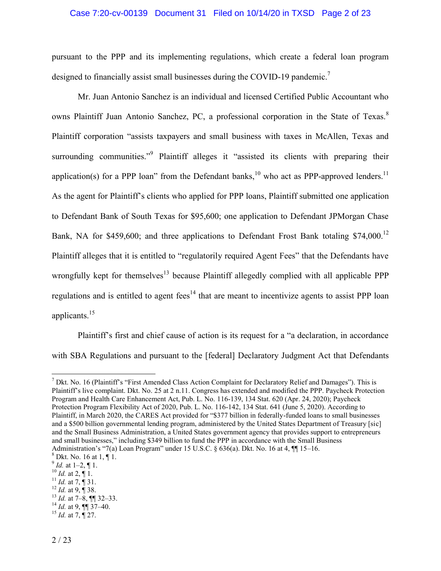#### Case 7:20-cv-00139 Document 31 Filed on 10/14/20 in TXSD Page 2 of 23

pursuant to the PPP and its implementing regulations, which create a federal loan program designed to financially assist small businesses during the COVID-19 pandemic.<sup>7</sup>

 Mr. Juan Antonio Sanchez is an individual and licensed Certified Public Accountant who owns Plaintiff Juan Antonio Sanchez, PC, a professional corporation in the State of Texas.<sup>8</sup> Plaintiff corporation "assists taxpayers and small business with taxes in McAllen, Texas and surrounding communities."<sup>9</sup> Plaintiff alleges it "assisted its clients with preparing their application(s) for a PPP loan" from the Defendant banks,  $10$  who act as PPP-approved lenders.  $11$ As the agent for Plaintiff's clients who applied for PPP loans, Plaintiff submitted one application to Defendant Bank of South Texas for \$95,600; one application to Defendant JPMorgan Chase Bank, NA for \$459,600; and three applications to Defendant Frost Bank totaling \$74,000.<sup>12</sup> Plaintiff alleges that it is entitled to "regulatorily required Agent Fees" that the Defendants have wrongfully kept for themselves<sup>13</sup> because Plaintiff allegedly complied with all applicable PPP regulations and is entitled to agent  $fees^{14}$  that are meant to incentivize agents to assist PPP loan applicants.<sup>15</sup>

Plaintiff's first and chief cause of action is its request for a "a declaration, in accordance with SBA Regulations and pursuant to the [federal] Declaratory Judgment Act that Defendants

<sup>10</sup> *Id.* at 2,  $\P$  1.

 $\overline{a}$ 

 $12$  *Id.* at 9, **1** 38.  $13$  *Id.* at  $7-\overline{8}$ , **[1]** 32–33.

 $^{15}$  *Id.* at 7,  $\overline{9}$  27.

 $^7$  Dkt. No. 16 (Plaintiff's "First Amended Class Action Complaint for Declaratory Relief and Damages"). This is Plaintiff's live complaint. Dkt. No. 25 at 2 n.11. Congress has extended and modified the PPP. Paycheck Protection Program and Health Care Enhancement Act, Pub. L. No. 116-139, 134 Stat. 620 (Apr. 24, 2020); Paycheck Protection Program Flexibility Act of 2020, Pub. L. No. 116-142, 134 Stat. 641 (June 5, 2020). According to Plaintiff, in March 2020, the CARES Act provided for "\$377 billion in federally-funded loans to small businesses and a \$500 billion governmental lending program, administered by the United States Department of Treasury [sic] and the Small Business Administration, a United States government agency that provides support to entrepreneurs and small businesses," including \$349 billion to fund the PPP in accordance with the Small Business Administration's "7(a) Loan Program" under 15 U.S.C. § 636(a). Dkt. No. 16 at 4, ¶¶ 15–16.

 $8$  Dkt. No. 16 at 1, ¶ 1.

 $^{9}$  *Id.* at 1–2, ¶ 1.

<sup>&</sup>lt;sup>11</sup> *Id.* at  $7. \n\overline{9}$  31.

 $^{14}$  *Id.* at 9,  $\frac{100 \text{ m/s}}{37-40}$ .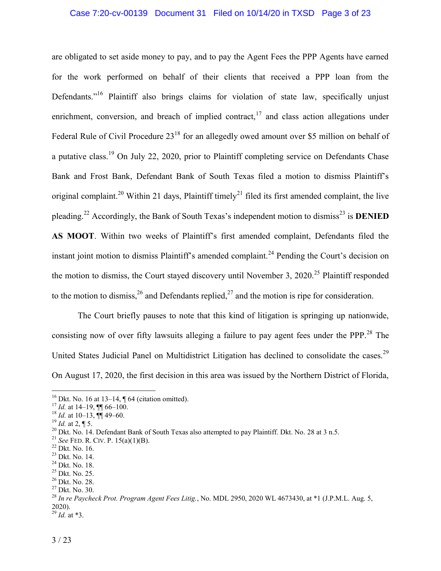## Case 7:20-cv-00139 Document 31 Filed on 10/14/20 in TXSD Page 3 of 23

are obligated to set aside money to pay, and to pay the Agent Fees the PPP Agents have earned for the work performed on behalf of their clients that received a PPP loan from the Defendants."<sup>16</sup> Plaintiff also brings claims for violation of state law, specifically unjust enrichment, conversion, and breach of implied contract,  $17$  and class action allegations under Federal Rule of Civil Procedure 23<sup>18</sup> for an allegedly owed amount over \$5 million on behalf of a putative class.<sup>19</sup> On July 22, 2020, prior to Plaintiff completing service on Defendants Chase Bank and Frost Bank, Defendant Bank of South Texas filed a motion to dismiss Plaintiff's original complaint.<sup>20</sup> Within 21 days, Plaintiff timely<sup>21</sup> filed its first amended complaint, the live pleading.<sup>22</sup> Accordingly, the Bank of South Texas's independent motion to dismiss<sup>23</sup> is **DENIED AS MOOT**. Within two weeks of Plaintiff's first amended complaint, Defendants filed the instant joint motion to dismiss Plaintiff's amended complaint.<sup>24</sup> Pending the Court's decision on the motion to dismiss, the Court stayed discovery until November 3, 2020.<sup>25</sup> Plaintiff responded to the motion to dismiss,  $^{26}$  and Defendants replied,  $^{27}$  and the motion is ripe for consideration.

The Court briefly pauses to note that this kind of litigation is springing up nationwide, consisting now of over fifty lawsuits alleging a failure to pay agent fees under the PPP.<sup>28</sup> The United States Judicial Panel on Multidistrict Litigation has declined to consolidate the cases.<sup>29</sup> On August 17, 2020, the first decision in this area was issued by the Northern District of Florida,

<sup>&</sup>lt;sup>16</sup> Dkt. No. 16 at 13–14, ¶ 64 (citation omitted).

 $17$  *Id.* at 14–19,  $\P$  66–100.

 $^{18}$  *Id.* at 10–13,  $\overline{99}$  49–60.

 $^{19}$  *Id.* at 2, ¶ 5.

<sup>&</sup>lt;sup>20</sup> Dkt. No. 14. Defendant Bank of South Texas also attempted to pay Plaintiff. Dkt. No. 28 at 3 n.5.

<sup>21</sup> *See* FED. R. CIV. P. 15(a)(1)(B).

<sup>22</sup> Dkt. No. 16.

<sup>23</sup> Dkt. No. 14.

<sup>24</sup> Dkt. No. 18.

<sup>25</sup> Dkt. No. 25.

<sup>26</sup> Dkt. No. 28.

<sup>27</sup> Dkt. No. 30.

<sup>28</sup> *In re Paycheck Prot. Program Agent Fees Litig.*, No. MDL 2950, 2020 WL 4673430, at \*1 (J.P.M.L. Aug. 5, 2020). <sup>29</sup> *Id.* at \*3.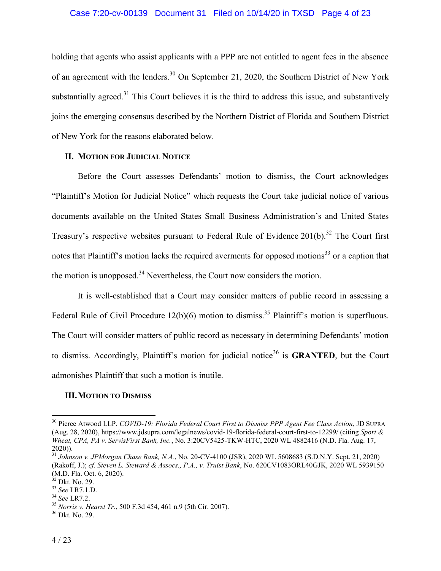holding that agents who assist applicants with a PPP are not entitled to agent fees in the absence of an agreement with the lenders.<sup>30</sup> On September 21, 2020, the Southern District of New York substantially agreed.<sup>31</sup> This Court believes it is the third to address this issue, and substantively joins the emerging consensus described by the Northern District of Florida and Southern District of New York for the reasons elaborated below.

## **II. MOTION FOR JUDICIAL NOTICE**

Before the Court assesses Defendants' motion to dismiss, the Court acknowledges "Plaintiff's Motion for Judicial Notice" which requests the Court take judicial notice of various documents available on the United States Small Business Administration's and United States Treasury's respective websites pursuant to Federal Rule of Evidence  $201(b)$ .<sup>32</sup> The Court first notes that Plaintiff's motion lacks the required averments for opposed motions<sup>33</sup> or a caption that the motion is unopposed. $34$  Nevertheless, the Court now considers the motion.

It is well-established that a Court may consider matters of public record in assessing a Federal Rule of Civil Procedure  $12(b)(6)$  motion to dismiss.<sup>35</sup> Plaintiff's motion is superfluous. The Court will consider matters of public record as necessary in determining Defendants' motion to dismiss. Accordingly, Plaintiff's motion for judicial notice<sup>36</sup> is **GRANTED**, but the Court admonishes Plaintiff that such a motion is inutile.

## **III.MOTION TO DISMISS**

<sup>30</sup> Pierce Atwood LLP, *COVID-19: Florida Federal Court First to Dismiss PPP Agent Fee Class Action*, JD SUPRA (Aug. 28, 2020), https://www.jdsupra.com/legalnews/covid-19-florida-federal-court-first-to-12299/ (citing *Sport & Wheat, CPA, PA v. ServisFirst Bank, Inc.*, No. 3:20CV5425-TKW-HTC, 2020 WL 4882416 (N.D. Fla. Aug. 17, 2020)).

<sup>31</sup> *Johnson v. JPMorgan Chase Bank, N.A.*, No. 20-CV-4100 (JSR), 2020 WL 5608683 (S.D.N.Y. Sept. 21, 2020) (Rakoff, J.); *cf. Steven L. Steward & Assocs., P.A., v. Truist Bank*, No. 620CV1083ORL40GJK, 2020 WL 5939150 (M.D. Fla. Oct. 6, 2020).

 $32$  Dkt. No. 29.

<sup>33</sup> *See* LR7.1.D.

<sup>34</sup> *See* LR7.2.

<sup>35</sup> *Norris v. Hearst Tr.*, 500 F.3d 454, 461 n.9 (5th Cir. 2007).

 $36$  Dkt. No. 29.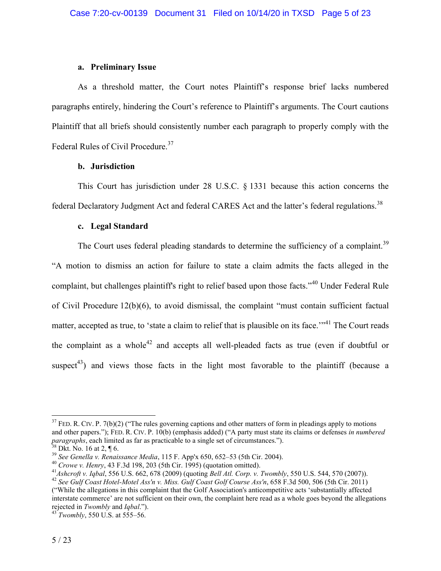## **a. Preliminary Issue**

As a threshold matter, the Court notes Plaintiff's response brief lacks numbered paragraphs entirely, hindering the Court's reference to Plaintiff's arguments. The Court cautions Plaintiff that all briefs should consistently number each paragraph to properly comply with the Federal Rules of Civil Procedure.<sup>37</sup>

## **b. Jurisdiction**

This Court has jurisdiction under 28 U.S.C. § 1331 because this action concerns the federal Declaratory Judgment Act and federal CARES Act and the latter's federal regulations.<sup>38</sup>

## **c. Legal Standard**

The Court uses federal pleading standards to determine the sufficiency of a complaint.<sup>39</sup> "A motion to dismiss an action for failure to state a claim admits the facts alleged in the complaint, but challenges plaintiff's right to relief based upon those facts."<sup>40</sup> Under Federal Rule of Civil Procedure 12(b)(6), to avoid dismissal, the complaint "must contain sufficient factual matter, accepted as true, to 'state a claim to relief that is plausible on its face."<sup>41</sup> The Court reads the complaint as a whole<sup>42</sup> and accepts all well-pleaded facts as true (even if doubtful or suspect<sup>43</sup>) and views those facts in the light most favorable to the plaintiff (because a

 $37$  FED. R. CIV. P. 7(b)(2) ("The rules governing captions and other matters of form in pleadings apply to motions and other papers."); FED. R. CIV. P. 10(b) (emphasis added) ("A party must state its claims or defenses *in numbered paragraphs*, each limited as far as practicable to a single set of circumstances.").

 $38$  Dkt. No. 16 at 2,  $\P$  6.

<sup>39</sup> *See Genella v. Renaissance Media*, 115 F. App'x 650, 652–53 (5th Cir. 2004).

<sup>40</sup> *Crowe v. Henry*, 43 F.3d 198, 203 (5th Cir. 1995) (quotation omitted).

<sup>41</sup>*Ashcroft v. Iqbal*, 556 U.S. 662, 678 (2009) (quoting *Bell Atl. Corp. v. Twombly*, 550 U.S. 544, 570 (2007)).

<sup>42</sup> *See Gulf Coast Hotel-Motel Ass'n v. Miss. Gulf Coast Golf Course Ass'n*, 658 F.3d 500, 506 (5th Cir. 2011) ("While the allegations in this complaint that the Golf Association's anticompetitive acts 'substantially affected interstate commerce' are not sufficient on their own, the complaint here read as a whole goes beyond the allegations rejected in *Twombly* and *Iqbal*.").

<sup>43</sup> *Twombly*, 550 U.S. at 555–56.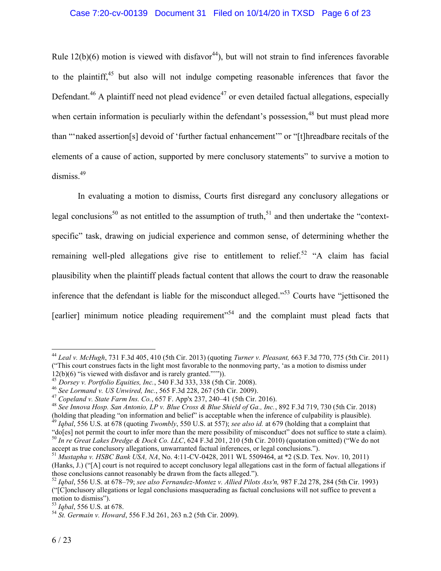Rule  $12(b)(6)$  motion is viewed with disfavor<sup>44</sup>), but will not strain to find inferences favorable to the plaintiff,<sup>45</sup> but also will not indulge competing reasonable inferences that favor the Defendant.<sup>46</sup> A plaintiff need not plead evidence<sup>47</sup> or even detailed factual allegations, especially when certain information is peculiarly within the defendant's possession,  $48$  but must plead more than "'naked assertion[s] devoid of 'further factual enhancement'" or "[t]hreadbare recitals of the elements of a cause of action, supported by mere conclusory statements" to survive a motion to dismiss.<sup>49</sup>

In evaluating a motion to dismiss, Courts first disregard any conclusory allegations or legal conclusions<sup>50</sup> as not entitled to the assumption of truth,<sup>51</sup> and then undertake the "contextspecific" task, drawing on judicial experience and common sense, of determining whether the remaining well-pled allegations give rise to entitlement to relief.<sup>52</sup> "A claim has facial plausibility when the plaintiff pleads factual content that allows the court to draw the reasonable inference that the defendant is liable for the misconduct alleged."<sup>53</sup> Courts have "jettisoned the [earlier] minimum notice pleading requirement"<sup>54</sup> and the complaint must plead facts that

<sup>44</sup> *Leal v. McHugh*, 731 F.3d 405, 410 (5th Cir. 2013) (quoting *Turner v. Pleasant,* 663 F.3d 770, 775 (5th Cir. 2011) ("This court construes facts in the light most favorable to the nonmoving party, 'as a motion to dismiss under 12(b)(6) "is viewed with disfavor and is rarely granted."'")).

<sup>45</sup> *Dorsey v. Portfolio Equities, Inc.*, 540 F.3d 333, 338 (5th Cir. 2008).

<sup>46</sup> *See Lormand v. US Unwired, Inc.*, 565 F.3d 228, 267 (5th Cir. 2009).

<sup>47</sup> *Copeland v. State Farm Ins. Co.*, 657 F. App'x 237, 240–41 (5th Cir. 2016).

<sup>48</sup> *See Innova Hosp. San Antonio, LP v. Blue Cross & Blue Shield of Ga., Inc.*, 892 F.3d 719, 730 (5th Cir. 2018) (holding that pleading "on information and belief" is acceptable when the inference of culpability is plausible).

<sup>49</sup> *Iqbal*, 556 U.S. at 678 (quoting *Twombly*, 550 U.S. at 557); *see also id.* at 679 (holding that a complaint that

<sup>&</sup>quot;do[es] not permit the court to infer more than the mere possibility of misconduct" does not suffice to state a claim). <sup>50</sup> *In re Great Lakes Dredge & Dock Co. LLC*, 624 F.3d 201, 210 (5th Cir. 2010) (quotation omitted) ("We do not accept as true conclusory allegations, unwarranted factual inferences, or legal conclusions.").

<sup>51</sup> *Mustapha v. HSBC Bank USA, NA*, No. 4:11-CV-0428, 2011 WL 5509464, at \*2 (S.D. Tex. Nov. 10, 2011) (Hanks, J.) ("[A] court is not required to accept conclusory legal allegations cast in the form of factual allegations if those conclusions cannot reasonably be drawn from the facts alleged.").

<sup>52</sup> *Iqbal*, 556 U.S. at 678–79; *see also Fernandez-Montez v. Allied Pilots Ass'n,* 987 F.2d 278, 284 (5th Cir. 1993) ("[C]onclusory allegations or legal conclusions masquerading as factual conclusions will not suffice to prevent a motion to dismiss").

<sup>53</sup> *Iqbal*, 556 U.S. at 678.

<sup>54</sup> *St. Germain v. Howard*, 556 F.3d 261, 263 n.2 (5th Cir. 2009).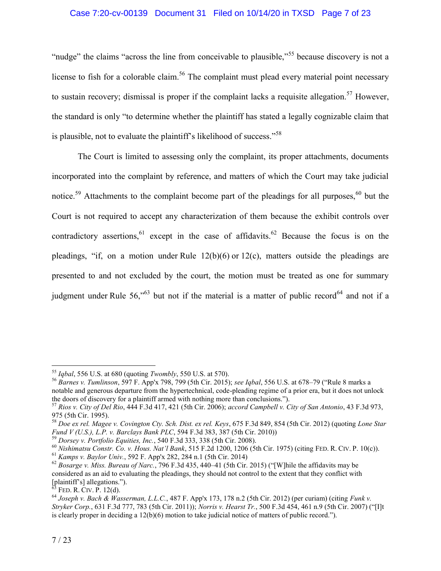## Case 7:20-cv-00139 Document 31 Filed on 10/14/20 in TXSD Page 7 of 23

"nudge" the claims "across the line from conceivable to plausible,"<sup>55</sup> because discovery is not a license to fish for a colorable claim.<sup>56</sup> The complaint must plead every material point necessary to sustain recovery; dismissal is proper if the complaint lacks a requisite allegation.<sup>57</sup> However, the standard is only "to determine whether the plaintiff has stated a legally cognizable claim that is plausible, not to evaluate the plaintiff's likelihood of success."<sup>58</sup>

The Court is limited to assessing only the complaint, its proper attachments, documents incorporated into the complaint by reference, and matters of which the Court may take judicial notice.<sup>59</sup> Attachments to the complaint become part of the pleadings for all purposes.<sup>60</sup> but the Court is not required to accept any characterization of them because the exhibit controls over contradictory assertions, <sup>61</sup> except in the case of affidavits.<sup>62</sup> Because the focus is on the pleadings, "if, on a motion under Rule 12(b)(6) or 12(c), matters outside the pleadings are presented to and not excluded by the court, the motion must be treated as one for summary judgment under Rule  $56$ ,"<sup>63</sup> but not if the material is a matter of public record<sup>64</sup> and not if a

<sup>55</sup> *Iqbal*, 556 U.S. at 680 (quoting *Twombly*, 550 U.S. at 570).

<sup>56</sup> *Barnes v. Tumlinson*, 597 F. App'x 798, 799 (5th Cir. 2015); *see Iqbal*, 556 U.S. at 678–79 ("Rule 8 marks a notable and generous departure from the hypertechnical, code-pleading regime of a prior era, but it does not unlock the doors of discovery for a plaintiff armed with nothing more than conclusions.").

<sup>57</sup> *Rios v. City of Del Rio*, 444 F.3d 417, 421 (5th Cir. 2006); *accord Campbell v. City of San Antonio*, 43 F.3d 973, 975 (5th Cir. 1995).

<sup>58</sup> *Doe ex rel. Magee v. Covington Cty. Sch. Dist. ex rel. Keys*, 675 F.3d 849, 854 (5th Cir. 2012) (quoting *Lone Star Fund V (U.S.), L.P. v. Barclays Bank PLC*, 594 F.3d 383, 387 (5th Cir. 2010))

<sup>59</sup> *Dorsey v. Portfolio Equities, Inc.*, 540 F.3d 333, 338 (5th Cir. 2008).

<sup>60</sup> *Nishimatsu Constr. Co. v. Hous. Nat'l Bank*, 515 F.2d 1200, 1206 (5th Cir. 1975) (citing FED. R. CIV. P. 10(c)).

<sup>61</sup> *Kamps v. Baylor Univ.*, 592 F. App'x 282, 284 n.1 (5th Cir. 2014)

<sup>62</sup> *Bosarge v. Miss. Bureau of Narc.*, 796 F.3d 435, 440–41 (5th Cir. 2015) ("[W]hile the affidavits may be considered as an aid to evaluating the pleadings, they should not control to the extent that they conflict with [plaintiff's] allegations.").

 $63$  Fed. R. CIV. P. 12(d).

<sup>64</sup> *Joseph v. Bach & Wasserman, L.L.C.*, 487 F. App'x 173, 178 n.2 (5th Cir. 2012) (per curiam) (citing *Funk v. Stryker Corp.*, 631 F.3d 777, 783 (5th Cir. 2011)); *Norris v. Hearst Tr.*, 500 F.3d 454, 461 n.9 (5th Cir. 2007) ("[I]t is clearly proper in deciding a 12(b)(6) motion to take judicial notice of matters of public record.").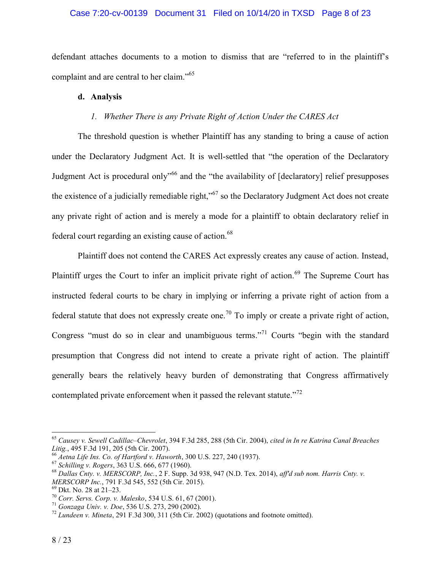## Case 7:20-cv-00139 Document 31 Filed on 10/14/20 in TXSD Page 8 of 23

defendant attaches documents to a motion to dismiss that are "referred to in the plaintiff's complaint and are central to her claim."<sup>65</sup>

## **d. Analysis**

## *1. Whether There is any Private Right of Action Under the CARES Act*

The threshold question is whether Plaintiff has any standing to bring a cause of action under the Declaratory Judgment Act. It is well-settled that "the operation of the Declaratory Judgment Act is procedural only<sup>166</sup> and the "the availability of [declaratory] relief presupposes the existence of a judicially remediable right,"<sup>67</sup> so the Declaratory Judgment Act does not create any private right of action and is merely a mode for a plaintiff to obtain declaratory relief in federal court regarding an existing cause of action.<sup>68</sup>

Plaintiff does not contend the CARES Act expressly creates any cause of action. Instead, Plaintiff urges the Court to infer an implicit private right of action.<sup>69</sup> The Supreme Court has instructed federal courts to be chary in implying or inferring a private right of action from a federal statute that does not expressly create one.<sup>70</sup> To imply or create a private right of action, Congress "must do so in clear and unambiguous terms."<sup>71</sup> Courts "begin with the standard presumption that Congress did not intend to create a private right of action. The plaintiff generally bears the relatively heavy burden of demonstrating that Congress affirmatively contemplated private enforcement when it passed the relevant statute. $172$ 

<sup>65</sup> *Causey v. Sewell Cadillac–Chevrolet*, 394 F.3d 285, 288 (5th Cir. 2004), *cited in In re Katrina Canal Breaches Litig.*, 495 F.3d 191, 205 (5th Cir. 2007).

<sup>66</sup> *Aetna Life Ins. Co. of Hartford v. Haworth*, 300 U.S. 227, 240 (1937).

<sup>67</sup> *Schilling v. Rogers*, 363 U.S. 666, 677 (1960).

<sup>68</sup> *Dallas Cnty. v. MERSCORP, Inc.*, 2 F. Supp. 3d 938, 947 (N.D. Tex. 2014), *aff'd sub nom. Harris Cnty. v. MERSCORP Inc.*, 791 F.3d 545, 552 (5th Cir. 2015).

<sup>69</sup> Dkt. No. 28 at 21–23.

<sup>70</sup> *Corr. Servs. Corp. v. Malesko*, 534 U.S. 61, 67 (2001).

<sup>71</sup> *Gonzaga Univ. v. Doe*, 536 U.S. 273, 290 (2002).

<sup>72</sup> *Lundeen v. Mineta*, 291 F.3d 300, 311 (5th Cir. 2002) (quotations and footnote omitted).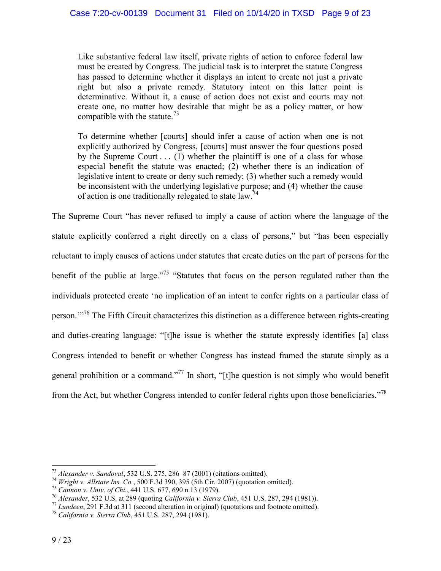Like substantive federal law itself, private rights of action to enforce federal law must be created by Congress. The judicial task is to interpret the statute Congress has passed to determine whether it displays an intent to create not just a private right but also a private remedy. Statutory intent on this latter point is determinative. Without it, a cause of action does not exist and courts may not create one, no matter how desirable that might be as a policy matter, or how compatible with the statute.<sup>73</sup>

To determine whether [courts] should infer a cause of action when one is not explicitly authorized by Congress, [courts] must answer the four questions posed by the Supreme Court  $\dots$  (1) whether the plaintiff is one of a class for whose especial benefit the statute was enacted; (2) whether there is an indication of legislative intent to create or deny such remedy; (3) whether such a remedy would be inconsistent with the underlying legislative purpose; and (4) whether the cause of action is one traditionally relegated to state  $\int_0^{74}$ 

The Supreme Court "has never refused to imply a cause of action where the language of the statute explicitly conferred a right directly on a class of persons," but "has been especially reluctant to imply causes of actions under statutes that create duties on the part of persons for the benefit of the public at large.<sup> $75$ </sup> "Statutes that focus on the person regulated rather than the individuals protected create 'no implication of an intent to confer rights on a particular class of person.'"<sup>76</sup> The Fifth Circuit characterizes this distinction as a difference between rights-creating and duties-creating language: "[t]he issue is whether the statute expressly identifies [a] class Congress intended to benefit or whether Congress has instead framed the statute simply as a general prohibition or a command."<sup>77</sup> In short, "[t]he question is not simply who would benefit from the Act, but whether Congress intended to confer federal rights upon those beneficiaries."<sup>78</sup>

<sup>73</sup> *Alexander v. Sandoval*, 532 U.S. 275, 286–87 (2001) (citations omitted).

<sup>74</sup> *Wright v. Allstate Ins. Co.*, 500 F.3d 390, 395 (5th Cir. 2007) (quotation omitted).

<sup>75</sup> *Cannon v. Univ. of Chi.*, 441 U.S. 677, 690 n.13 (1979).

<sup>76</sup> *Alexander*, 532 U.S. at 289 (quoting *California v. Sierra Club*, 451 U.S. 287, 294 (1981)).

<sup>77</sup> *Lundeen*, 291 F.3d at 311 (second alteration in original) (quotations and footnote omitted).

<sup>78</sup> *California v. Sierra Club*, 451 U.S. 287, 294 (1981).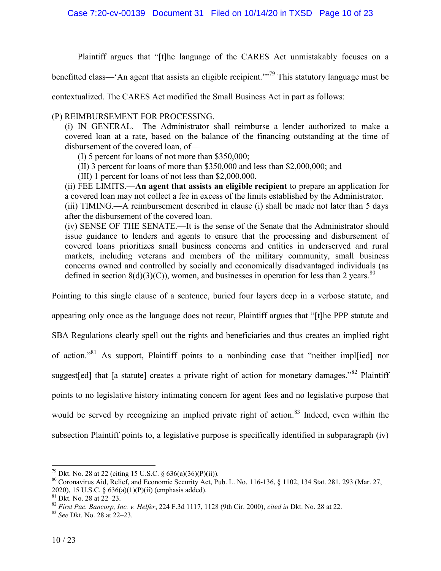Plaintiff argues that "[t]he language of the CARES Act unmistakably focuses on a

benefitted class—'An agent that assists an eligible recipient.'"<sup>79</sup> This statutory language must be

contextualized. The CARES Act modified the Small Business Act in part as follows:

(P) REIMBURSEMENT FOR PROCESSING.—

(i) IN GENERAL.—The Administrator shall reimburse a lender authorized to make a covered loan at a rate, based on the balance of the financing outstanding at the time of disbursement of the covered loan, of—

(I) 5 percent for loans of not more than \$350,000;

(II) 3 percent for loans of more than \$350,000 and less than \$2,000,000; and

(III) 1 percent for loans of not less than \$2,000,000.

(ii) FEE LIMITS.—**An agent that assists an eligible recipient** to prepare an application for a covered loan may not collect a fee in excess of the limits established by the Administrator. (iii) TIMING.—A reimbursement described in clause (i) shall be made not later than 5 days after the disbursement of the covered loan.

(iv) SENSE OF THE SENATE.—It is the sense of the Senate that the Administrator should issue guidance to lenders and agents to ensure that the processing and disbursement of covered loans prioritizes small business concerns and entities in underserved and rural markets, including veterans and members of the military community, small business concerns owned and controlled by socially and economically disadvantaged individuals (as defined in section  $8(d)(3)(C)$ ), women, and businesses in operation for less than 2 years.<sup>80</sup>

Pointing to this single clause of a sentence, buried four layers deep in a verbose statute, and

appearing only once as the language does not recur, Plaintiff argues that "[t]he PPP statute and SBA Regulations clearly spell out the rights and beneficiaries and thus creates an implied right of action."<sup>81</sup> As support, Plaintiff points to a nonbinding case that "neither impl[ied] nor suggest [ed] that [a statute] creates a private right of action for monetary damages."<sup>82</sup> Plaintiff points to no legislative history intimating concern for agent fees and no legislative purpose that would be served by recognizing an implied private right of action.<sup>83</sup> Indeed, even within the subsection Plaintiff points to, a legislative purpose is specifically identified in subparagraph (iv)

<sup>&</sup>lt;sup>79</sup> Dkt. No. 28 at 22 (citing 15 U.S.C. § 636(a)(36)(P)(ii)).

<sup>80</sup> Coronavirus Aid, Relief, and Economic Security Act, Pub. L. No. 116-136, § 1102, 134 Stat. 281, 293 (Mar. 27, 2020), 15 U.S.C. § 636(a)(1)(P)(ii) (emphasis added).

 $81$  Dkt. No. 28 at  $22-23$ .

<sup>82</sup> *First Pac. Bancorp, Inc. v. Helfer*, 224 F.3d 1117, 1128 (9th Cir. 2000), *cited in* Dkt. No. 28 at 22.

<sup>83</sup> *See* Dkt. No. 28 at 22–23.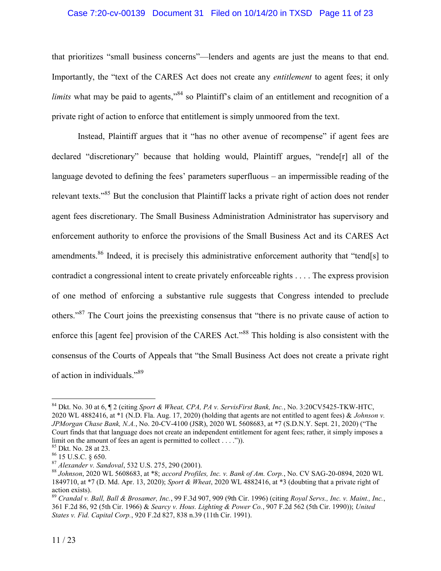## Case 7:20-cv-00139 Document 31 Filed on 10/14/20 in TXSD Page 11 of 23

that prioritizes "small business concerns"—lenders and agents are just the means to that end. Importantly, the "text of the CARES Act does not create any *entitlement* to agent fees; it only *limits* what may be paid to agents,"<sup>84</sup> so Plaintiff's claim of an entitlement and recognition of a private right of action to enforce that entitlement is simply unmoored from the text.

Instead, Plaintiff argues that it "has no other avenue of recompense" if agent fees are declared "discretionary" because that holding would, Plaintiff argues, "rende[r] all of the language devoted to defining the fees' parameters superfluous – an impermissible reading of the relevant texts."<sup>85</sup> But the conclusion that Plaintiff lacks a private right of action does not render agent fees discretionary. The Small Business Administration Administrator has supervisory and enforcement authority to enforce the provisions of the Small Business Act and its CARES Act amendments.<sup>86</sup> Indeed, it is precisely this administrative enforcement authority that "tend[s] to contradict a congressional intent to create privately enforceable rights . . . . The express provision of one method of enforcing a substantive rule suggests that Congress intended to preclude others."<sup>87</sup> The Court joins the preexisting consensus that "there is no private cause of action to enforce this [agent fee] provision of the CARES Act.<sup>88</sup> This holding is also consistent with the consensus of the Courts of Appeals that "the Small Business Act does not create a private right of action in individuals."<sup>89</sup>

<sup>84</sup> Dkt. No. 30 at 6, ¶ 2 (citing *Sport & Wheat, CPA, PA v. ServisFirst Bank, Inc.*, No. 3:20CV5425-TKW-HTC, 2020 WL 4882416, at \*1 (N.D. Fla. Aug. 17, 2020) (holding that agents are not entitled to agent fees) & *Johnson v. JPMorgan Chase Bank, N.A.*, No. 20-CV-4100 (JSR), 2020 WL 5608683, at \*7 (S.D.N.Y. Sept. 21, 2020) ("The Court finds that that language does not create an independent entitlement for agent fees; rather, it simply imposes a limit on the amount of fees an agent is permitted to collect  $\dots$ .").

<sup>85</sup> Dkt. No. 28 at 23.

<sup>86</sup> 15 U.S.C. § 650.

<sup>87</sup> *Alexander v. Sandoval*, 532 U.S. 275, 290 (2001).

<sup>88</sup> *Johnson*, 2020 WL 5608683, at \*8; *accord Profiles, Inc. v. Bank of Am. Corp.*, No. CV SAG-20-0894, 2020 WL 1849710, at \*7 (D. Md. Apr. 13, 2020); *Sport & Wheat*, 2020 WL 4882416, at \*3 (doubting that a private right of action exists).

<sup>89</sup> *Crandal v. Ball, Ball & Brosamer, Inc.*, 99 F.3d 907, 909 (9th Cir. 1996) (citing *Royal Servs., Inc. v. Maint., Inc.*, 361 F.2d 86, 92 (5th Cir. 1966) & *Searcy v. Hous. Lighting & Power Co.*, 907 F.2d 562 (5th Cir. 1990)); *United States v. Fid. Capital Corp.*, 920 F.2d 827, 838 n.39 (11th Cir. 1991).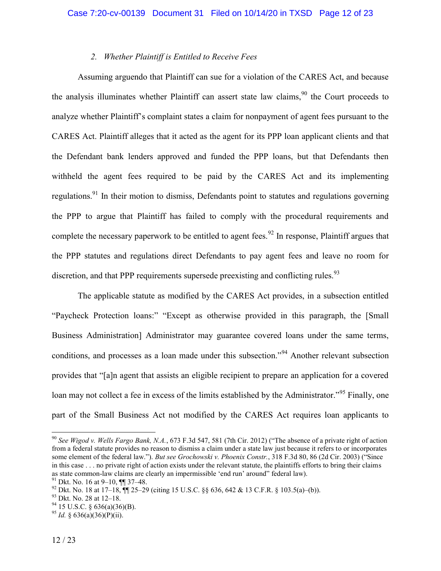## *2. Whether Plaintiff is Entitled to Receive Fees*

Assuming arguendo that Plaintiff can sue for a violation of the CARES Act, and because the analysis illuminates whether Plaintiff can assert state law claims.<sup>90</sup> the Court proceeds to analyze whether Plaintiff's complaint states a claim for nonpayment of agent fees pursuant to the CARES Act. Plaintiff alleges that it acted as the agent for its PPP loan applicant clients and that the Defendant bank lenders approved and funded the PPP loans, but that Defendants then withheld the agent fees required to be paid by the CARES Act and its implementing regulations.<sup>91</sup> In their motion to dismiss, Defendants point to statutes and regulations governing the PPP to argue that Plaintiff has failed to comply with the procedural requirements and complete the necessary paperwork to be entitled to agent fees.<sup>92</sup> In response, Plaintiff argues that the PPP statutes and regulations direct Defendants to pay agent fees and leave no room for discretion, and that PPP requirements supersede preexisting and conflicting rules.  $93$ 

The applicable statute as modified by the CARES Act provides, in a subsection entitled "Paycheck Protection loans:" "Except as otherwise provided in this paragraph, the [Small Business Administration] Administrator may guarantee covered loans under the same terms, conditions, and processes as a loan made under this subsection."<sup>94</sup> Another relevant subsection provides that "[a]n agent that assists an eligible recipient to prepare an application for a covered loan may not collect a fee in excess of the limits established by the Administrator.<sup>95</sup> Finally, one part of the Small Business Act not modified by the CARES Act requires loan applicants to

<sup>90</sup> *See Wigod v. Wells Fargo Bank, N.A.*, 673 F.3d 547, 581 (7th Cir. 2012) ("The absence of a private right of action from a federal statute provides no reason to dismiss a claim under a state law just because it refers to or incorporates some element of the federal law."). *But see Grochowski v. Phoenix Constr.*, 318 F.3d 80, 86 (2d Cir. 2003) ("Since in this case . . . no private right of action exists under the relevant statute, the plaintiffs efforts to bring their claims as state common-law claims are clearly an impermissible 'end run' around" federal law).

<sup>91</sup> Dkt. No. 16 at 9–10, ¶¶ 37–48.

<sup>&</sup>lt;sup>92</sup> Dkt. No. 18 at 17–18,  $\P$  25–29 (citing 15 U.S.C. §§ 636, 642 & 13 C.F.R. § 103.5(a)–(b)).

<sup>93</sup> Dkt. No. 28 at 12–18.

 $94$  15 U.S.C. § 636(a)(36)(B).

<sup>&</sup>lt;sup>95</sup> *Id.* § 636(a)(36)(P)(ii).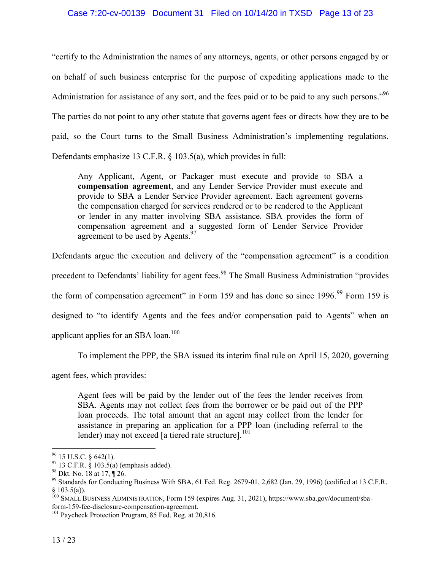## Case 7:20-cv-00139 Document 31 Filed on 10/14/20 in TXSD Page 13 of 23

"certify to the Administration the names of any attorneys, agents, or other persons engaged by or on behalf of such business enterprise for the purpose of expediting applications made to the Administration for assistance of any sort, and the fees paid or to be paid to any such persons."<sup>96</sup> The parties do not point to any other statute that governs agent fees or directs how they are to be paid, so the Court turns to the Small Business Administration's implementing regulations. Defendants emphasize 13 C.F.R. § 103.5(a), which provides in full:

Any Applicant, Agent, or Packager must execute and provide to SBA a **compensation agreement**, and any Lender Service Provider must execute and provide to SBA a Lender Service Provider agreement. Each agreement governs the compensation charged for services rendered or to be rendered to the Applicant or lender in any matter involving SBA assistance. SBA provides the form of compensation agreement and a suggested form of Lender Service Provider agreement to be used by Agents.<sup>97</sup>

Defendants argue the execution and delivery of the "compensation agreement" is a condition precedent to Defendants' liability for agent fees.<sup>98</sup> The Small Business Administration "provides" the form of compensation agreement" in Form 159 and has done so since  $1996.99$  Form 159 is designed to "to identify Agents and the fees and/or compensation paid to Agents" when an applicant applies for an SBA loan.<sup>100</sup>

To implement the PPP, the SBA issued its interim final rule on April 15, 2020, governing

agent fees, which provides:

Agent fees will be paid by the lender out of the fees the lender receives from SBA. Agents may not collect fees from the borrower or be paid out of the PPP loan proceeds. The total amount that an agent may collect from the lender for assistance in preparing an application for a PPP loan (including referral to the lender) may not exceed [a tiered rate structure].<sup>101</sup>

 $96$  15 U.S.C. § 642(1).

 $97$  13 C.F.R.  $\frac{8}{9}$  103.5(a) (emphasis added).

<sup>98</sup> Dkt. No. 18 at 17, ¶ 26.

<sup>&</sup>lt;sup>99</sup> Standards for Conducting Business With SBA, 61 Fed. Reg. 2679-01, 2,682 (Jan. 29, 1996) (codified at 13 C.F.R.  $§$  103.5(a)).

<sup>&</sup>lt;sup>100</sup> SMALL BUSINESS ADMINISTRATION, Form 159 (expires Aug. 31, 2021), https://www.sba.gov/document/sbaform-159-fee-disclosure-compensation-agreement.

<sup>&</sup>lt;sup>101</sup> Paycheck Protection Program, 85 Fed. Reg. at 20,816.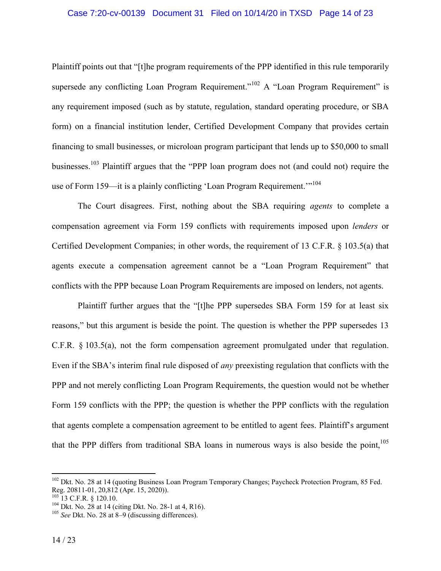#### Case 7:20-cv-00139 Document 31 Filed on 10/14/20 in TXSD Page 14 of 23

Plaintiff points out that "[t]he program requirements of the PPP identified in this rule temporarily supersede any conflicting Loan Program Requirement."<sup>102</sup> A "Loan Program Requirement" is any requirement imposed (such as by statute, regulation, standard operating procedure, or SBA form) on a financial institution lender, Certified Development Company that provides certain financing to small businesses, or microloan program participant that lends up to \$50,000 to small businesses.<sup>103</sup> Plaintiff argues that the "PPP loan program does not (and could not) require the use of Form 159—it is a plainly conflicting 'Loan Program Requirement.'<sup>104</sup>

The Court disagrees. First, nothing about the SBA requiring *agents* to complete a compensation agreement via Form 159 conflicts with requirements imposed upon *lenders* or Certified Development Companies; in other words, the requirement of 13 C.F.R. § 103.5(a) that agents execute a compensation agreement cannot be a "Loan Program Requirement" that conflicts with the PPP because Loan Program Requirements are imposed on lenders, not agents.

Plaintiff further argues that the "[t]he PPP supersedes SBA Form 159 for at least six reasons," but this argument is beside the point. The question is whether the PPP supersedes 13 C.F.R. § 103.5(a), not the form compensation agreement promulgated under that regulation. Even if the SBA's interim final rule disposed of *any* preexisting regulation that conflicts with the PPP and not merely conflicting Loan Program Requirements, the question would not be whether Form 159 conflicts with the PPP; the question is whether the PPP conflicts with the regulation that agents complete a compensation agreement to be entitled to agent fees. Plaintiff's argument that the PPP differs from traditional SBA loans in numerous ways is also beside the point.<sup>105</sup>

<sup>&</sup>lt;sup>102</sup> Dkt. No. 28 at 14 (quoting Business Loan Program Temporary Changes; Paycheck Protection Program, 85 Fed. Reg. 20811-01, 20,812 (Apr. 15, 2020)).

<sup>103</sup> 13 C.F.R. § 120.10.

<sup>&</sup>lt;sup>104</sup> Dkt. No. 28 at 14 (citing Dkt. No. 28-1 at 4, R16).

<sup>105</sup> *See* Dkt. No. 28 at 8–9 (discussing differences).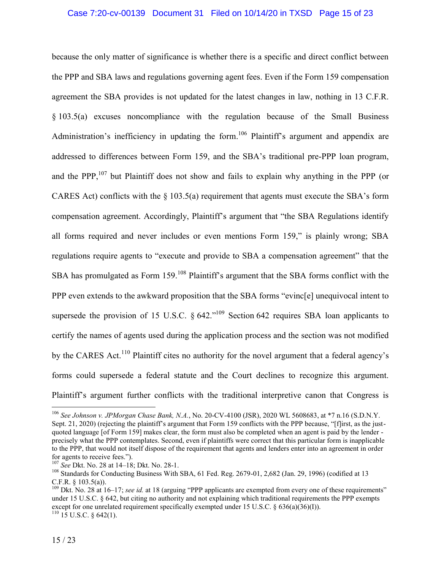### Case 7:20-cv-00139 Document 31 Filed on 10/14/20 in TXSD Page 15 of 23

<span id="page-14-0"></span>because the only matter of significance is whether there is a specific and direct conflict between the PPP and SBA laws and regulations governing agent fees. Even if the Form 159 compensation agreement the SBA provides is not updated for the latest changes in law, nothing in 13 C.F.R. § 103.5(a) excuses noncompliance with the regulation because of the Small Business Administration's inefficiency in updating the form.<sup>106</sup> Plaintiff's argument and appendix are addressed to differences between Form 159, and the SBA's traditional pre-PPP loan program, and the PPP, $107$  but Plaintiff does not show and fails to explain why anything in the PPP (or CARES Act) conflicts with the  $\S$  103.5(a) requirement that agents must execute the SBA's form compensation agreement. Accordingly, Plaintiff's argument that "the SBA Regulations identify all forms required and never includes or even mentions Form 159," is plainly wrong; SBA regulations require agents to "execute and provide to SBA a compensation agreement" that the SBA has promulgated as Form 159.<sup>108</sup> Plaintiff's argument that the SBA forms conflict with the PPP even extends to the awkward proposition that the SBA forms "evinc[e] unequivocal intent to supersede the provision of 15 U.S.C.  $\S$  642.<sup> $109$ </sup> Section 642 requires SBA loan applicants to certify the names of agents used during the application process and the section was not modified by the CARES Act.<sup>110</sup> Plaintiff cites no authority for the novel argument that a federal agency's forms could supersede a federal statute and the Court declines to recognize this argument. Plaintiff's argument further conflicts with the traditional interpretive canon that Congress is

<sup>106</sup> *See Johnson v. JPMorgan Chase Bank, N.A.*, No. 20-CV-4100 (JSR), 2020 WL 5608683, at \*7 n.16 (S.D.N.Y. Sept. 21, 2020) (rejecting the plaintiff's argument that Form 159 conflicts with the PPP because, "[f]irst, as the justquoted language [of Form 159] makes clear, the form must also be completed when an agent is paid by the lender precisely what the PPP contemplates. Second, even if plaintiffs were correct that this particular form is inapplicable to the PPP, that would not itself dispose of the requirement that agents and lenders enter into an agreement in order for agents to receive fees.").

<sup>107</sup> *See* Dkt. No. 28 at 14–18; Dkt. No. 28-1.

<sup>&</sup>lt;sup>108</sup> Standards for Conducting Business With SBA, 61 Fed. Reg. 2679-01, 2,682 (Jan. 29, 1996) (codified at 13 C.F.R. § 103.5(a)).

<sup>&</sup>lt;sup>109</sup> Dkt. No. 28 at 16–17; *see id.* at 18 (arguing "PPP applicants are exempted from every one of these requirements" under 15 U.S.C. § 642, but citing no authority and not explaining which traditional requirements the PPP exempts except for one unrelated requirement specifically exempted under 15 U.S.C. § 636(a)(36)(I)).  $110$  15 U.S.C. § 642(1).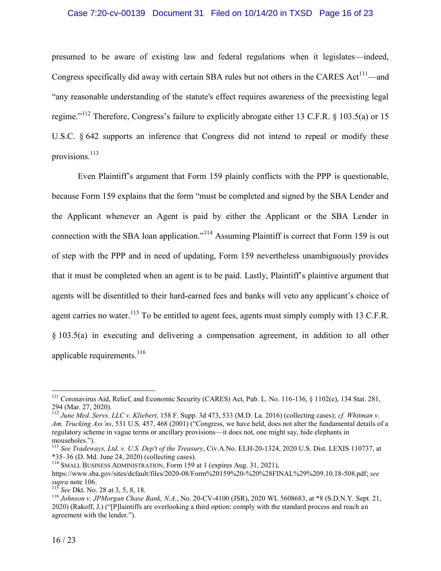### Case 7:20-cv-00139 Document 31 Filed on 10/14/20 in TXSD Page 16 of 23

presumed to be aware of existing law and federal regulations when it legislates—indeed, Congress specifically did away with certain SBA rules but not others in the CARES  $Act^{111}$ —and "any reasonable understanding of the statute's effect requires awareness of the preexisting legal regime."<sup>112</sup> Therefore, Congress's failure to explicitly abrogate either 13 C.F.R. § 103.5(a) or 15 U.S.C. § 642 supports an inference that Congress did not intend to repeal or modify these provisions.<sup>113</sup>

Even Plaintiff's argument that Form 159 plainly conflicts with the PPP is questionable, because Form 159 explains that the form "must be completed and signed by the SBA Lender and the Applicant whenever an Agent is paid by either the Applicant or the SBA Lender in connection with the SBA loan application."<sup>114</sup> Assuming Plaintiff is correct that Form 159 is out of step with the PPP and in need of updating, Form 159 nevertheless unambiguously provides that it must be completed when an agent is to be paid. Lastly, Plaintiff's plaintive argument that agents will be disentitled to their hard-earned fees and banks will veto any applicant's choice of agent carries no water.<sup>115</sup> To be entitled to agent fees, agents must simply comply with 13 C.F.R. § 103.5(a) in executing and delivering a compensation agreement, in addition to all other applicable requirements. $^{116}$ 

<sup>&</sup>lt;sup>111</sup> Coronavirus Aid, Relief, and Economic Security (CARES) Act, Pub. L. No. 116-136, § 1102(e), 134 Stat. 281, 294 (Mar. 27, 2020).

<sup>112</sup> *June Med. Servs. LLC v. Kliebert*, 158 F. Supp. 3d 473, 533 (M.D. La. 2016) (collecting cases); *cf. Whitman v. Am. Trucking Ass'ns*, 531 U.S. 457, 468 (2001) ("Congress, we have held, does not alter the fundamental details of a regulatory scheme in vague terms or ancillary provisions—it does not, one might say, hide elephants in mouseholes.").

<sup>113</sup> *See Tradeways, Ltd. v. U.S. Dep't of the Treasury*, Civ.A.No. ELH-20-1324, 2020 U.S. Dist. LEXIS 110737, at \*35–36 (D. Md. June 24, 2020) (collecting cases).

<sup>&</sup>lt;sup>114</sup> SMALL BUSINESS ADMINISTRATION, Form 159 at 1 (expires Aug. 31, 2021), https://www.sba.gov/sites/default/files/2020-08/Form%20159%20-%20%28FINAL%29%209.10.18-508.pdf; *see supra* note [106.](#page-14-0)

<sup>&</sup>lt;sup>115</sup> *See* Dkt. No. 28 at 3, 5, 8, 18.

<sup>116</sup> *Johnson v. JPMorgan Chase Bank, N.A.*, No. 20-CV-4100 (JSR), 2020 WL 5608683, at \*8 (S.D.N.Y. Sept. 21, 2020) (Rakoff, J.) ("[P]laintiffs are overlooking a third option: comply with the standard process and reach an agreement with the lender.").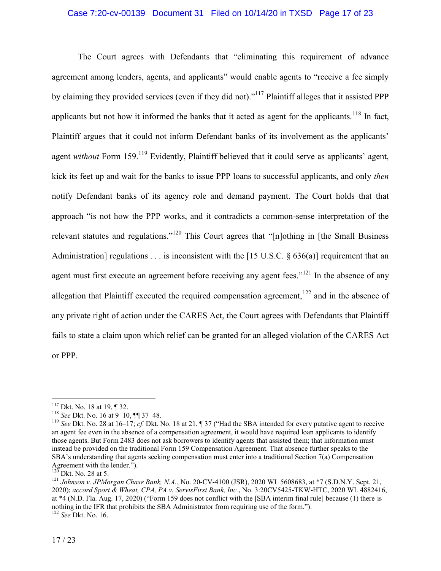## Case 7:20-cv-00139 Document 31 Filed on 10/14/20 in TXSD Page 17 of 23

The Court agrees with Defendants that "eliminating this requirement of advance agreement among lenders, agents, and applicants" would enable agents to "receive a fee simply by claiming they provided services (even if they did not)."<sup>117</sup> Plaintiff alleges that it assisted PPP applicants but not how it informed the banks that it acted as agent for the applicants.<sup>118</sup> In fact, Plaintiff argues that it could not inform Defendant banks of its involvement as the applicants' agent *without* Form 159.<sup>119</sup> Evidently, Plaintiff believed that it could serve as applicants' agent, kick its feet up and wait for the banks to issue PPP loans to successful applicants, and only *then* notify Defendant banks of its agency role and demand payment. The Court holds that that approach "is not how the PPP works, and it contradicts a common-sense interpretation of the relevant statutes and regulations."<sup>120</sup> This Court agrees that "[n]othing in [the Small Business Administration] regulations  $\dots$  is inconsistent with the [15 U.S.C. § 636(a)] requirement that an agent must first execute an agreement before receiving any agent fees."<sup>121</sup> In the absence of any allegation that Plaintiff executed the required compensation agreement, $122$  and in the absence of any private right of action under the CARES Act, the Court agrees with Defendants that Plaintiff fails to state a claim upon which relief can be granted for an alleged violation of the CARES Act or PPP.

<sup>117</sup> Dkt. No. 18 at 19, ¶ 32.

<sup>118</sup> *See* Dkt. No. 16 at 9–10, ¶¶ 37–48.

<sup>119</sup> *See* Dkt. No. 28 at 16–17; *cf.* Dkt. No. 18 at 21, ¶ 37 ("Had the SBA intended for every putative agent to receive an agent fee even in the absence of a compensation agreement, it would have required loan applicants to identify those agents. But Form 2483 does not ask borrowers to identify agents that assisted them; that information must instead be provided on the traditional Form 159 Compensation Agreement. That absence further speaks to the SBA's understanding that agents seeking compensation must enter into a traditional Section 7(a) Compensation Agreement with the lender.").

 $\overline{D}$  Dkt. No. 28 at 5.

<sup>121</sup> *Johnson v. JPMorgan Chase Bank, N.A.*, No. 20-CV-4100 (JSR), 2020 WL 5608683, at \*7 (S.D.N.Y. Sept. 21, 2020); *accord Sport & Wheat, CPA, PA v. ServisFirst Bank, Inc.*, No. 3:20CV5425-TKW-HTC, 2020 WL 4882416, at \*4 (N.D. Fla. Aug. 17, 2020) ("Form 159 does not conflict with the [SBA interim final rule] because (1) there is nothing in the IFR that prohibits the SBA Administrator from requiring use of the form."). <sup>122</sup> *See* Dkt. No. 16.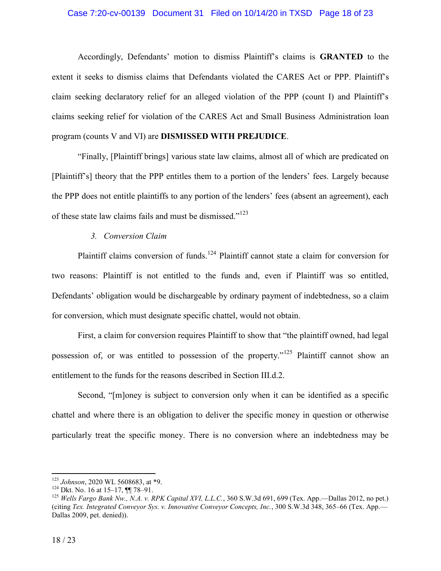### Case 7:20-cv-00139 Document 31 Filed on 10/14/20 in TXSD Page 18 of 23

Accordingly, Defendants' motion to dismiss Plaintiff's claims is **GRANTED** to the extent it seeks to dismiss claims that Defendants violated the CARES Act or PPP. Plaintiff's claim seeking declaratory relief for an alleged violation of the PPP (count I) and Plaintiff's claims seeking relief for violation of the CARES Act and Small Business Administration loan program (counts V and VI) are **DISMISSED WITH PREJUDICE**.

"Finally, [Plaintiff brings] various state law claims, almost all of which are predicated on [Plaintiff's] theory that the PPP entitles them to a portion of the lenders' fees. Largely because the PPP does not entitle plaintiffs to any portion of the lenders' fees (absent an agreement), each of these state law claims fails and must be dismissed."<sup>123</sup>

## *3. Conversion Claim*

Plaintiff claims conversion of funds.<sup>124</sup> Plaintiff cannot state a claim for conversion for two reasons: Plaintiff is not entitled to the funds and, even if Plaintiff was so entitled, Defendants' obligation would be dischargeable by ordinary payment of indebtedness, so a claim for conversion, which must designate specific chattel, would not obtain.

First, a claim for conversion requires Plaintiff to show that "the plaintiff owned, had legal possession of, or was entitled to possession of the property."<sup>125</sup> Plaintiff cannot show an entitlement to the funds for the reasons described in Section III.d.2.

Second, "[m]oney is subject to conversion only when it can be identified as a specific chattel and where there is an obligation to deliver the specific money in question or otherwise particularly treat the specific money. There is no conversion where an indebtedness may be

<sup>123</sup> *Johnson*, 2020 WL 5608683, at \*9.

<sup>&</sup>lt;sup>124</sup> Dkt. No. 16 at 15–17,  $\P$  78–91.

<sup>&</sup>lt;sup>125</sup> *Wells Fargo Bank Nw., N.A. v. RPK Capital XVI, L.L.C.*, 360 S.W.3d 691, 699 (Tex. App.—Dallas 2012, no pet.) (citing *Tex. Integrated Conveyor Sys. v. Innovative Conveyor Concepts, Inc.*, 300 S.W.3d 348, 365–66 (Tex. App.— Dallas 2009, pet. denied)).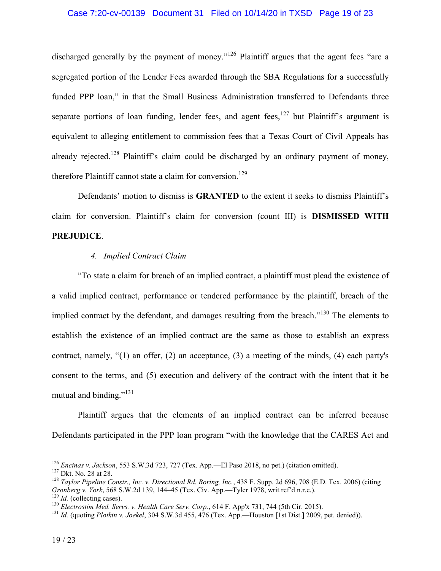### Case 7:20-cv-00139 Document 31 Filed on 10/14/20 in TXSD Page 19 of 23

discharged generally by the payment of money."<sup>126</sup> Plaintiff argues that the agent fees "are a segregated portion of the Lender Fees awarded through the SBA Regulations for a successfully funded PPP loan," in that the Small Business Administration transferred to Defendants three separate portions of loan funding, lender fees, and agent fees,  $127$  but Plaintiff's argument is equivalent to alleging entitlement to commission fees that a Texas Court of Civil Appeals has already rejected.<sup>128</sup> Plaintiff's claim could be discharged by an ordinary payment of money, therefore Plaintiff cannot state a claim for conversion.<sup>129</sup>

Defendants' motion to dismiss is **GRANTED** to the extent it seeks to dismiss Plaintiff's claim for conversion. Plaintiff's claim for conversion (count III) is **DISMISSED WITH PREJUDICE**.

## *4. Implied Contract Claim*

"To state a claim for breach of an implied contract, a plaintiff must plead the existence of a valid implied contract, performance or tendered performance by the plaintiff, breach of the implied contract by the defendant, and damages resulting from the breach."<sup>130</sup> The elements to establish the existence of an implied contract are the same as those to establish an express contract, namely, "(1) an offer, (2) an acceptance, (3) a meeting of the minds, (4) each party's consent to the terms, and (5) execution and delivery of the contract with the intent that it be mutual and binding." $^{131}$ 

Plaintiff argues that the elements of an implied contract can be inferred because Defendants participated in the PPP loan program "with the knowledge that the CARES Act and

<sup>126</sup> *Encinas v. Jackson*, 553 S.W.3d 723, 727 (Tex. App.—El Paso 2018, no pet.) (citation omitted).

<sup>127</sup> Dkt. No. 28 at 28.

<sup>128</sup> *Taylor Pipeline Constr., Inc. v. Directional Rd. Boring, Inc.*, 438 F. Supp. 2d 696, 708 (E.D. Tex. 2006) (citing *Gronberg v. York*, 568 S.W.2d 139, 144–45 (Tex. Civ. App.—Tyler 1978, writ ref'd n.r.e.). <sup>129</sup> *Id.* (collecting cases).

<sup>130</sup> *Electrostim Med. Servs. v. Health Care Serv. Corp.*, 614 F. App'x 731, 744 (5th Cir. 2015).

<sup>131</sup> *Id.* (quoting *Plotkin v. Joekel*, 304 S.W.3d 455, 476 (Tex. App.—Houston [1st Dist.] 2009, pet. denied)).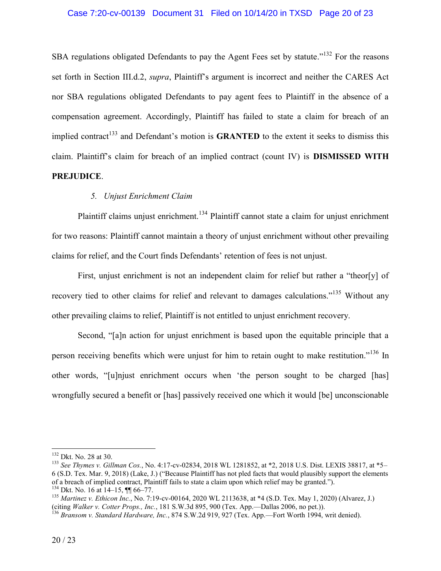### Case 7:20-cv-00139 Document 31 Filed on 10/14/20 in TXSD Page 20 of 23

SBA regulations obligated Defendants to pay the Agent Fees set by statute.<sup>"132</sup> For the reasons set forth in Section III.d.2, *supra*, Plaintiff's argument is incorrect and neither the CARES Act nor SBA regulations obligated Defendants to pay agent fees to Plaintiff in the absence of a compensation agreement. Accordingly, Plaintiff has failed to state a claim for breach of an implied contract<sup>133</sup> and Defendant's motion is **GRANTED** to the extent it seeks to dismiss this claim. Plaintiff's claim for breach of an implied contract (count IV) is **DISMISSED WITH PREJUDICE**.

## *5. Unjust Enrichment Claim*

Plaintiff claims unjust enrichment.<sup>134</sup> Plaintiff cannot state a claim for unjust enrichment for two reasons: Plaintiff cannot maintain a theory of unjust enrichment without other prevailing claims for relief, and the Court finds Defendants' retention of fees is not unjust.

First, unjust enrichment is not an independent claim for relief but rather a "theor[y] of recovery tied to other claims for relief and relevant to damages calculations."<sup>135</sup> Without any other prevailing claims to relief, Plaintiff is not entitled to unjust enrichment recovery.

Second, "[a]n action for unjust enrichment is based upon the equitable principle that a person receiving benefits which were unjust for him to retain ought to make restitution."<sup>136</sup> In other words, "[u]njust enrichment occurs when 'the person sought to be charged [has] wrongfully secured a benefit or [has] passively received one which it would [be] unconscionable

<sup>132</sup> Dkt. No. 28 at 30.

<sup>133</sup> *See Thymes v. Gillman Cos.*, No. 4:17-cv-02834, 2018 WL 1281852, at \*2, 2018 U.S. Dist. LEXIS 38817, at \*5– 6 (S.D. Tex. Mar. 9, 2018) (Lake, J.) ("Because Plaintiff has not pled facts that would plausibly support the elements of a breach of implied contract, Plaintiff fails to state a claim upon which relief may be granted."). <sup>134</sup> Dkt. No. 16 at 14–15,  $\P\P$  66–77.

<sup>135</sup> *Martinez v. Ethicon Inc.*, No. 7:19-cv-00164, 2020 WL 2113638, at \*4 (S.D. Tex. May 1, 2020) (Alvarez, J.) (citing *Walker v. Cotter Props., Inc.*, 181 S.W.3d 895, 900 (Tex. App.—Dallas 2006, no pet.)).

<sup>136</sup> *Bransom v. Standard Hardware, Inc.*, 874 S.W.2d 919, 927 (Tex. App.—Fort Worth 1994, writ denied).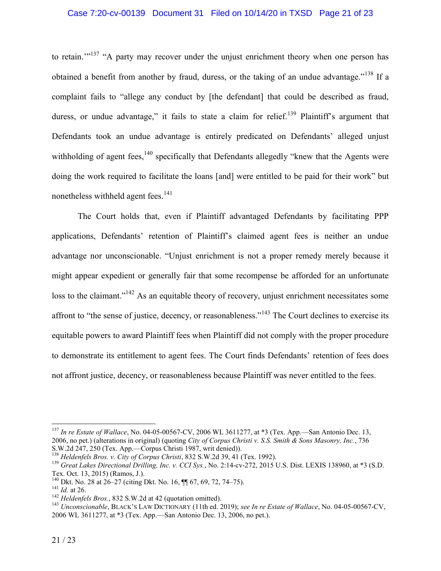## Case 7:20-cv-00139 Document 31 Filed on 10/14/20 in TXSD Page 21 of 23

to retain."<sup>137</sup> "A party may recover under the unjust enrichment theory when one person has obtained a benefit from another by fraud, duress, or the taking of an undue advantage."<sup>138</sup> If a complaint fails to "allege any conduct by [the defendant] that could be described as fraud, duress, or undue advantage," it fails to state a claim for relief.<sup>139</sup> Plaintiff's argument that Defendants took an undue advantage is entirely predicated on Defendants' alleged unjust withholding of agent fees,<sup>140</sup> specifically that Defendants allegedly "knew that the Agents were doing the work required to facilitate the loans [and] were entitled to be paid for their work" but nonetheless withheld agent fees.<sup>141</sup>

The Court holds that, even if Plaintiff advantaged Defendants by facilitating PPP applications, Defendants' retention of Plaintiff's claimed agent fees is neither an undue advantage nor unconscionable. "Unjust enrichment is not a proper remedy merely because it might appear expedient or generally fair that some recompense be afforded for an unfortunate loss to the claimant."<sup>142</sup> As an equitable theory of recovery, unjust enrichment necessitates some affront to "the sense of justice, decency, or reasonableness."<sup>143</sup> The Court declines to exercise its equitable powers to award Plaintiff fees when Plaintiff did not comply with the proper procedure to demonstrate its entitlement to agent fees. The Court finds Defendants' retention of fees does not affront justice, decency, or reasonableness because Plaintiff was never entitled to the fees.

<sup>137</sup> *In re Estate of Wallace*, No. 04-05-00567-CV, 2006 WL 3611277, at \*3 (Tex. App.—San Antonio Dec. 13, 2006, no pet.) (alterations in original) (quoting *City of Corpus Christi v. S.S. Smith & Sons Masonry, Inc.*, 736 S.W.2d 247, 250 (Tex. App.—Corpus Christi 1987, writ denied)).

<sup>138</sup> *Heldenfels Bros. v. City of Corpus Christi*, 832 S.W.2d 39, 41 (Tex. 1992).

<sup>139</sup> *Great Lakes Directional Drilling, Inc. v. CCI Sys.*, No. 2:14-cv-272, 2015 U.S. Dist. LEXIS 138960, at \*3 (S.D. Tex. Oct. 13, 2015) (Ramos, J.).

<sup>&</sup>lt;sup>140</sup> Dkt. No. 28 at  $26-27$  (citing Dkt. No. 16,  $\P$  67, 69, 72, 74–75).

<sup>141</sup> *Id.* at 26.

<sup>142</sup> *Heldenfels Bros.*, 832 S.W.2d at 42 (quotation omitted).

<sup>143</sup> *Unconscionable*, BLACK'S LAW DICTIONARY (11th ed. 2019); *see In re Estate of Wallace*, No. 04-05-00567-CV, 2006 WL 3611277, at \*3 (Tex. App.—San Antonio Dec. 13, 2006, no pet.).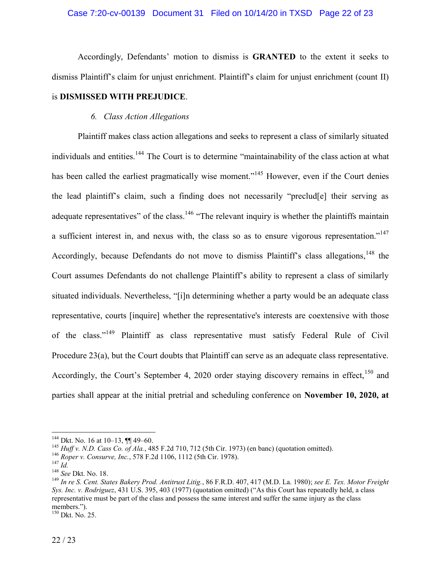Accordingly, Defendants' motion to dismiss is **GRANTED** to the extent it seeks to dismiss Plaintiff's claim for unjust enrichment. Plaintiff's claim for unjust enrichment (count II) is **DISMISSED WITH PREJUDICE**.

## *6. Class Action Allegations*

Plaintiff makes class action allegations and seeks to represent a class of similarly situated individuals and entities.<sup>144</sup> The Court is to determine "maintainability of the class action at what has been called the earliest pragmatically wise moment."<sup>145</sup> However, even if the Court denies the lead plaintiff's claim, such a finding does not necessarily "preclud[e] their serving as adequate representatives" of the class.<sup>146</sup> "The relevant inquiry is whether the plaintiffs maintain a sufficient interest in, and nexus with, the class so as to ensure vigorous representation."<sup>147</sup> Accordingly, because Defendants do not move to dismiss Plaintiff's class allegations,<sup>148</sup> the Court assumes Defendants do not challenge Plaintiff's ability to represent a class of similarly situated individuals. Nevertheless, "[i]n determining whether a party would be an adequate class representative, courts [inquire] whether the representative's interests are coextensive with those of the class."<sup>149</sup> Plaintiff as class representative must satisfy Federal Rule of Civil Procedure 23(a), but the Court doubts that Plaintiff can serve as an adequate class representative. Accordingly, the Court's September 4, 2020 order staying discovery remains in effect,  $150$  and parties shall appear at the initial pretrial and scheduling conference on **November 10, 2020, at** 

<sup>144</sup> Dkt. No. 16 at 10–13, ¶¶ 49–60.

<sup>145</sup> *Huff v. N.D. Cass Co. of Ala.*, 485 F.2d 710, 712 (5th Cir. 1973) (en banc) (quotation omitted).

<sup>146</sup> *Roper v. Consurve, Inc.*, 578 F.2d 1106, 1112 (5th Cir. 1978).

 $^{147}$  *Id*<sup> $\cdot$ </sup>

<sup>148</sup> *See* Dkt. No. 18.

<sup>149</sup> *In re S. Cent. States Bakery Prod. Antitrust Litig.*, 86 F.R.D. 407, 417 (M.D. La. 1980); *see E. Tex. Motor Freight Sys. Inc. v. Rodriguez*, 431 U.S. 395, 403 (1977) (quotation omitted) ("As this Court has repeatedly held, a class representative must be part of the class and possess the same interest and suffer the same injury as the class members.").

 $150$  Dkt. No. 25.